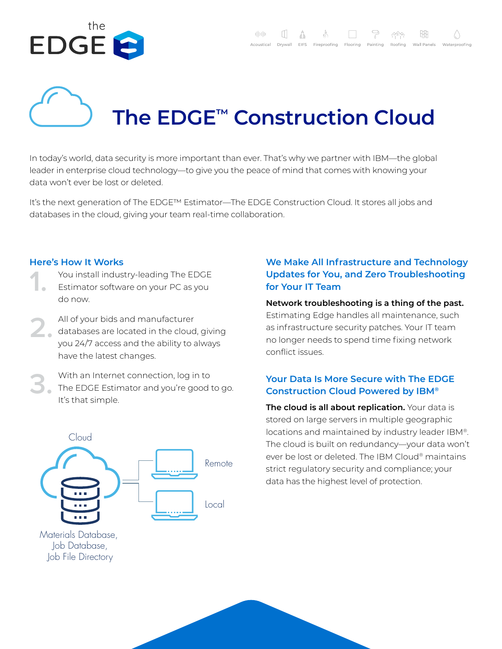

# **The EDGE™ Construction Cloud**

In today's world, data security is more important than ever. That's why we partner with IBM—the global leader in enterprise cloud technology—to give you the peace of mind that comes with knowing your data won't ever be lost or deleted.

It's the next generation of The EDGE™ Estimator—The EDGE Construction Cloud. It stores all jobs and databases in the cloud, giving your team real-time collaboration.

#### **Here's How It Works**

- You install industry-leading The EDGE
- Estimator software on your PC as you do now. **1.**
- All of your bids and manufacturer databases are located in the cloud, giving you 24/7 access and the ability to always have the latest changes. **2.**
- With an Internet connection, log in to The EDGE Estimator and you're good to go. It's that simple. **3.**



Materials Database, Job Database, Job File Directory

# **We Make All Infrastructure and Technology Updates for You, and Zero Troubleshooting for Your IT Team**

### **Network troubleshooting is a thing of the past.**  Estimating Edge handles all maintenance, such as infrastructure security patches. Your IT team no longer needs to spend time fixing network

# **Your Data Is More Secure with The EDGE Construction Cloud Powered by IBM®**

conflict issues.

**The cloud is all about replication.** Your data is stored on large servers in multiple geographic locations and maintained by industry leader IBM®. The cloud is built on redundancy—your data won't ever be lost or deleted. The IBM Cloud® maintains strict regulatory security and compliance; your data has the highest level of protection.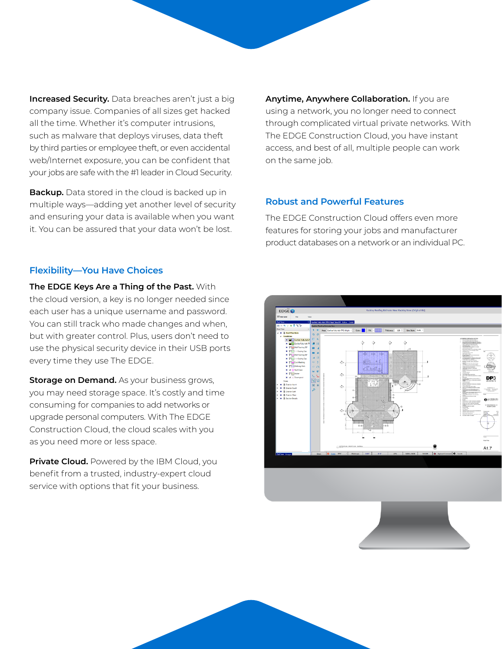**Increased Security.** Data breaches aren't just a big company issue. Companies of all sizes get hacked all the time. Whether it's computer intrusions, such as malware that deploys viruses, data theft by third parties or employee theft, or even accidental web/Internet exposure, you can be confident that your jobs are safe with the #1 leader in Cloud Security.

**Backup.** Data stored in the cloud is backed up in multiple ways—adding yet another level of security and ensuring your data is available when you want it. You can be assured that your data won't be lost.

**Anytime, Anywhere Collaboration.** If you are using a network, you no longer need to connect through complicated virtual private networks. With The EDGE Construction Cloud, you have instant access, and best of all, multiple people can work on the same job.

#### **Robust and Powerful Features**

The EDGE Construction Cloud offers even more features for storing your jobs and manufacturer product databases on a network or an individual PC.

#### **Flexibility—You Have Choices**

**The EDGE Keys Are a Thing of the Past.** With the cloud version, a key is no longer needed since each user has a unique username and password. You can still track who made changes and when, but with greater control. Plus, users don't need to use the physical security device in their USB ports every time they use The EDGE.

**Storage on Demand.** As your business grows, you may need storage space. It's costly and time consuming for companies to add networks or upgrade personal computers. With The EDGE Construction Cloud, the cloud scales with you as you need more or less space.

**Private Cloud.** Powered by the IBM Cloud, you benefit from a trusted, industry-expert cloud service with options that fit your business.



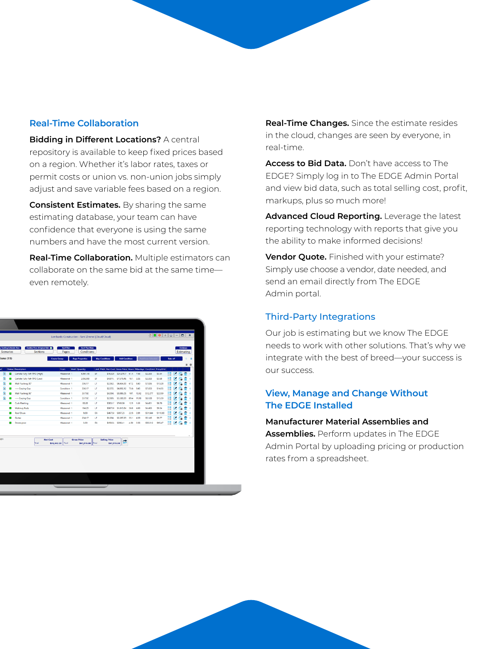#### **Real-Time Collaboration**

**Bidding in Different Locations?** A central repository is available to keep fixed prices based on a region. Whether it's labor rates, taxes or permit costs or union vs. non-union jobs simply adjust and save variable fees based on a region.

**Consistent Estimates.** By sharing the same estimating database, your team can have confidence that everyone is using the same numbers and have the most current version.

**Real-Time Collaboration.** Multiple estimators can collaborate on the same bid at the same time even remotely.

|                                     |                               |                                                     |                           | Lombardo Construction - Tami Zimmel (Cloud/Cloud) |           |                                                                    |                      |             |       |                         |          |           |                |          |            |  |
|-------------------------------------|-------------------------------|-----------------------------------------------------|---------------------------|---------------------------------------------------|-----------|--------------------------------------------------------------------|----------------------|-------------|-------|-------------------------|----------|-----------|----------------|----------|------------|--|
| y Roofing Estimate New<br>Scenarios |                               | Rackley New (Original Bid) <sup>8</sup><br>Sections | <b>Roof Plan</b><br>Pages | <b>Roof Plan Main</b><br>Conditions               |           |                                                                    |                      |             |       |                         |          |           |                | Database | Estimating |  |
| tions(11)                           |                               | <b>Create Group</b>                                 |                           | <b>Page Properties</b>                            |           | <b>Map Conditions</b>                                              | Add Condition        |             |       | <b>Add From Schedul</b> |          | Take off  |                |          |            |  |
|                                     |                               |                                                     |                           |                                                   |           |                                                                    |                      |             |       |                         |          |           |                |          | $\equiv$   |  |
|                                     | <b>Status</b> Description     |                                                     | From                      | <b>Mult</b> Quantity                              |           | Unit Pitch Net Cost Gross Price Hours Mandays Cost/Unit Price/Unit |                      |             |       |                         |          |           |                |          |            |  |
| D.<br>٠                             | Carlisle Fully Adh TPO (High) |                                                     | Measured 1                | 6.861.48                                          | SF        | \$15,320                                                           | \$24,278.7 61.4 7.68 |             |       | \$2.233                 | \$3.54   | H         | $\blacksquare$ |          |            |  |
| n                                   | Carlisle Fully Adh TPO (Low)  |                                                     | Measured 1                | 2.062.03                                          | SF        | \$4,811.                                                           | \$7,579.46           | 18.1.       | 2.26  | \$2.333                 | \$3.68   | H,        |                |          |            |  |
| n                                   | Wall Flashing 30"             |                                                     | Measured 1                | 336.17                                            | <b>UF</b> | \$2.362.                                                           | \$4,464.30           | 67.2        | 8.40  | \$7.026                 | \$13.28  |           |                |          |            |  |
| Ð<br>۰                              | ---- Coping Cap               |                                                     | Condition 1               | 336.17                                            | UF        | \$2,572.                                                           | \$4,892.12           | 75.6        | 9.45  | \$7,653                 | \$14.55  | H         | ,              |          |            |  |
| n                                   | Wall Flashing 96"             |                                                     | Measured 1                | 357.92                                            | LF        | \$4,394                                                            | \$8,086.05           | 107.        | 13.42 | \$12.277                | \$22.59  | H         | z              |          |            |  |
| $\blacksquare$                      | ---- Coping Cap               |                                                     | Condition 1               | 357.92                                            | <b>UF</b> | \$2,909.                                                           | \$5.580.99           | 89.4        | 11.18 | \$8.128                 | \$15.59  |           | z              |          |            |  |
| 0                                   | Curb Flashing                 |                                                     | Measured 1                | 86.08                                             | <b>UF</b> | \$383.17                                                           | \$749.00             | 12.9        | 1.61  | \$4,451                 | \$8.70   | H         |                |          |            |  |
|                                     | <b>Walkway Pads</b>           |                                                     | Measured 1                | 194.25                                            | LF        | \$867.00                                                           | \$1,813.84           | 38.8        | 4.86  | \$4,463                 | \$9.34   | H         |                |          |            |  |
|                                     | Roof Drain                    |                                                     | Measured 1                | 9.00                                              | EA        | \$467.50                                                           | \$997.23             | $22.5$ 2.81 |       | \$51,944                | \$110.80 | m         |                |          |            |  |
|                                     | Gutter                        |                                                     | Measured 1                | 234.17                                            | LF        | \$1,204                                                            | \$2,287.23           | 35.1 4.39   |       | \$5.145                 | \$9.77   | <b>ER</b> |                |          |            |  |
|                                     | Downspout                     |                                                     | Measured 1                | 3.00                                              | <b>EA</b> | \$150.0/                                                           | \$286.41             | 4.50        | 0.56  | \$50,012                | \$95.47  | m         | z              |          |            |  |
| orv                                 | Total                         | <b>Net Cost</b><br>\$35,442.23 Total                |                           | <b>Gross Price</b><br>\$61,015.38 Total           |           | <b>Selling Price</b><br>\$61,015.38                                |                      |             |       |                         |          |           |                |          |            |  |

**Real-Time Changes.** Since the estimate resides in the cloud, changes are seen by everyone, in real-time.

**Access to Bid Data.** Don't have access to The EDGE? Simply log in to The EDGE Admin Portal and view bid data, such as total selling cost, profit, markups, plus so much more!

**Advanced Cloud Reporting.** Leverage the latest reporting technology with reports that give you the ability to make informed decisions!

**Vendor Quote.** Finished with your estimate? Simply use choose a vendor, date needed, and send an email directly from The EDGE Admin portal.

# Third-Party Integrations

Our job is estimating but we know The EDGE needs to work with other solutions. That's why we integrate with the best of breed—your success is our success.

# **View, Manage and Change Without The EDGE Installed**

**Manufacturer Material Assemblies and Assemblies.** Perform updates in The EDGE Admin Portal by uploading pricing or production rates from a spreadsheet.